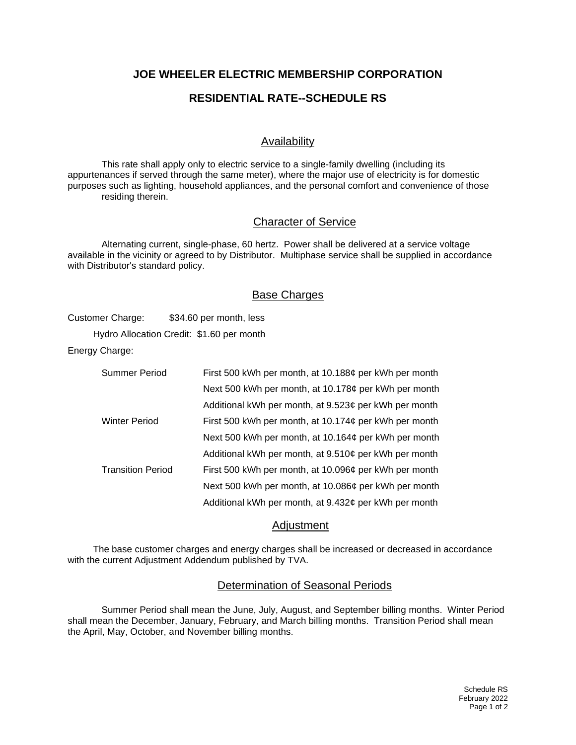## **JOE WHEELER ELECTRIC MEMBERSHIP CORPORATION**

# **RESIDENTIAL RATE--SCHEDULE RS**

## Availability

This rate shall apply only to electric service to a single-family dwelling (including its appurtenances if served through the same meter), where the major use of electricity is for domestic purposes such as lighting, household appliances, and the personal comfort and convenience of those residing therein.

#### Character of Service

Alternating current, single-phase, 60 hertz. Power shall be delivered at a service voltage available in the vicinity or agreed to by Distributor. Multiphase service shall be supplied in accordance with Distributor's standard policy.

### Base Charges

Customer Charge: \$34.60 per month, less

Hydro Allocation Credit: \$1.60 per month

Energy Charge:

| Summer Period            | First 500 kWh per month, at 10.188¢ per kWh per month |
|--------------------------|-------------------------------------------------------|
|                          | Next 500 kWh per month, at 10.178¢ per kWh per month  |
|                          | Additional kWh per month, at 9.523¢ per kWh per month |
| <b>Winter Period</b>     | First 500 kWh per month, at 10.174¢ per kWh per month |
|                          | Next 500 kWh per month, at 10.164¢ per kWh per month  |
|                          | Additional kWh per month, at 9.510¢ per kWh per month |
| <b>Transition Period</b> | First 500 kWh per month, at 10.096¢ per kWh per month |
|                          | Next 500 kWh per month, at 10.086¢ per kWh per month  |
|                          | Additional kWh per month, at 9.432¢ per kWh per month |

### **Adjustment**

The base customer charges and energy charges shall be increased or decreased in accordance with the current Adjustment Addendum published by TVA.

### Determination of Seasonal Periods

Summer Period shall mean the June, July, August, and September billing months. Winter Period shall mean the December, January, February, and March billing months. Transition Period shall mean the April, May, October, and November billing months.